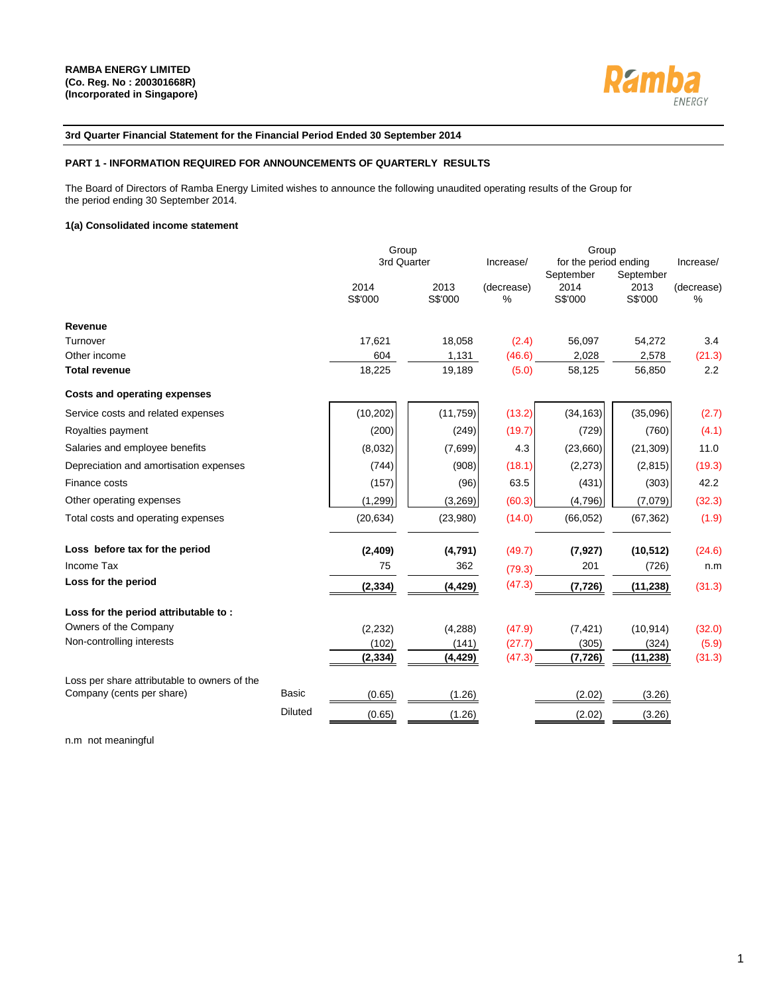

### **3rd Quarter Financial Statement for the Financial Period Ended 30 September 2014**

#### **PART 1 - INFORMATION REQUIRED FOR ANNOUNCEMENTS OF QUARTERLY RESULTS**

The Board of Directors of Ramba Energy Limited wishes to announce the following unaudited operating results of the Group for the period ending 30 September 2014.

#### **1(a) Consolidated income statement**

|                                              |                | Group           |                 |                 | Group                              |                 |                 |  |  |
|----------------------------------------------|----------------|-----------------|-----------------|-----------------|------------------------------------|-----------------|-----------------|--|--|
|                                              |                | 3rd Quarter     |                 | Increase/       | for the period ending<br>September | September       | Increase/       |  |  |
|                                              |                | 2014<br>S\$'000 | 2013<br>S\$'000 | (decrease)<br>% | 2014<br>S\$'000                    | 2013<br>S\$'000 | (decrease)<br>% |  |  |
| Revenue                                      |                |                 |                 |                 |                                    |                 |                 |  |  |
| Turnover                                     |                | 17,621          | 18,058          | (2.4)           | 56,097                             | 54,272          | 3.4             |  |  |
| Other income                                 |                | 604             | 1,131           | (46.6)          | 2,028                              | 2,578           | (21.3)          |  |  |
| <b>Total revenue</b>                         |                | 18,225          | 19,189          | (5.0)           | 58,125                             | 56,850          | 2.2             |  |  |
| <b>Costs and operating expenses</b>          |                |                 |                 |                 |                                    |                 |                 |  |  |
| Service costs and related expenses           |                | (10, 202)       | (11,759)        | (13.2)          | (34, 163)                          | (35,096)        | (2.7)           |  |  |
| Royalties payment                            |                | (200)           | (249)           | (19.7)          | (729)                              | (760)           | (4.1)           |  |  |
| Salaries and employee benefits               |                | (8,032)         | (7,699)         | 4.3             | (23,660)                           | (21, 309)       | 11.0            |  |  |
| Depreciation and amortisation expenses       |                | (744)           | (908)           | (18.1)          | (2,273)                            | (2,815)         | (19.3)          |  |  |
| Finance costs                                |                | (157)           | (96)            | 63.5            | (431)                              | (303)           | 42.2            |  |  |
| Other operating expenses                     |                | (1, 299)        | (3,269)         | (60.3)          | (4,796)                            | (7,079)         | (32.3)          |  |  |
| Total costs and operating expenses           |                | (20, 634)       | (23,980)        | (14.0)          | (66, 052)                          | (67, 362)       | (1.9)           |  |  |
| Loss before tax for the period               |                | (2, 409)        | (4,791)         | (49.7)          | (7, 927)                           | (10, 512)       | (24.6)          |  |  |
| Income Tax                                   |                | 75              | 362             | (79.3)          | 201                                | (726)           | n.m             |  |  |
| Loss for the period                          |                | (2, 334)        | (4, 429)        | (47.3)          | (7, 726)                           | (11, 238)       | (31.3)          |  |  |
| Loss for the period attributable to:         |                |                 |                 |                 |                                    |                 |                 |  |  |
| Owners of the Company                        |                | (2, 232)        | (4,288)         | (47.9)          | (7, 421)                           | (10, 914)       | (32.0)          |  |  |
| Non-controlling interests                    |                | (102)           | (141)           | (27.7)          | (305)                              | (324)           | (5.9)           |  |  |
|                                              |                | (2, 334)        | (4, 429)        | (47.3)          | (7, 726)                           | (11, 238)       | (31.3)          |  |  |
| Loss per share attributable to owners of the |                |                 |                 |                 |                                    |                 |                 |  |  |
| Company (cents per share)                    | <b>Basic</b>   | (0.65)          | (1.26)          |                 | (2.02)                             | (3.26)          |                 |  |  |
|                                              | <b>Diluted</b> | (0.65)          | (1.26)          |                 | (2.02)                             | (3.26)          |                 |  |  |

n.m not meaningful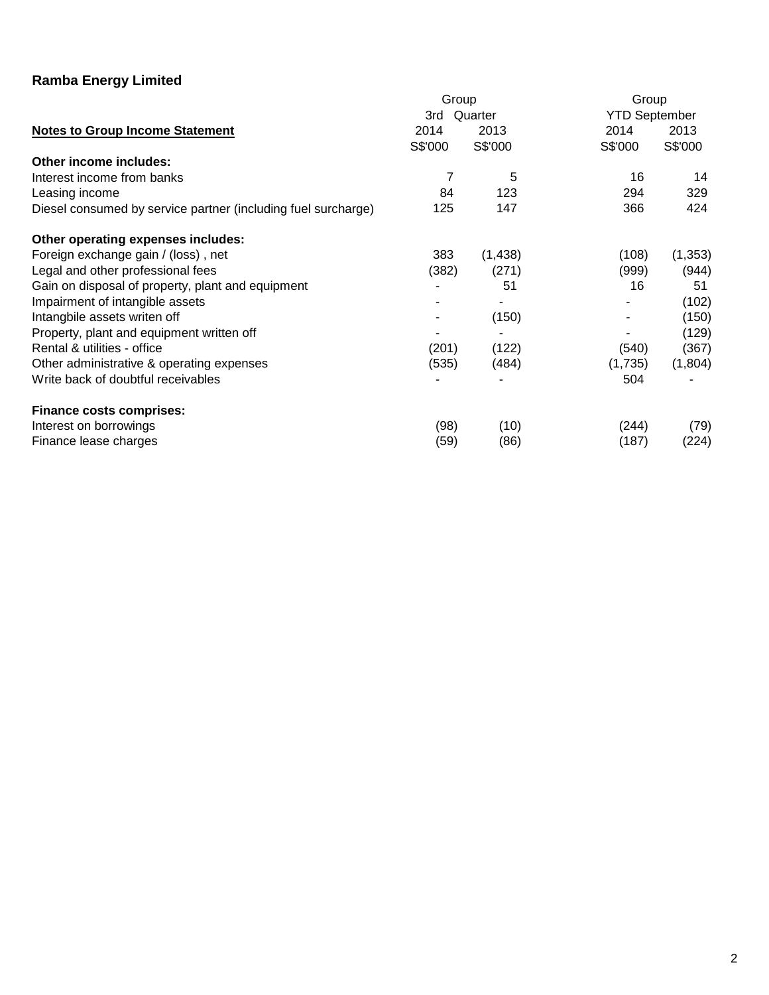|                                                               | Group   |         | Group                |          |  |  |
|---------------------------------------------------------------|---------|---------|----------------------|----------|--|--|
|                                                               | 3rd     | Quarter | <b>YTD September</b> |          |  |  |
| <b>Notes to Group Income Statement</b>                        | 2014    | 2013    | 2014                 | 2013     |  |  |
|                                                               | S\$'000 | S\$'000 | S\$'000              | S\$'000  |  |  |
| Other income includes:                                        |         |         |                      |          |  |  |
| Interest income from banks                                    | 7       | 5       | 16                   | 14       |  |  |
| Leasing income                                                | 84      | 123     | 294                  | 329      |  |  |
| Diesel consumed by service partner (including fuel surcharge) | 125     | 147     | 366                  | 424      |  |  |
| Other operating expenses includes:                            |         |         |                      |          |  |  |
| Foreign exchange gain / (loss), net                           | 383     | (1,438) | (108)                | (1, 353) |  |  |
| Legal and other professional fees                             | (382)   | (271)   | (999)                | (944)    |  |  |
| Gain on disposal of property, plant and equipment             |         | 51      | 16                   | 51       |  |  |
| Impairment of intangible assets                               |         |         |                      | (102)    |  |  |
| Intangbile assets writen off                                  |         | (150)   |                      | (150)    |  |  |
| Property, plant and equipment written off                     |         |         |                      | (129)    |  |  |
| Rental & utilities - office                                   | (201)   | (122)   | (540)                | (367)    |  |  |
| Other administrative & operating expenses                     | (535)   | (484)   | (1,735)              | (1,804)  |  |  |
| Write back of doubtful receivables                            |         |         | 504                  |          |  |  |
| <b>Finance costs comprises:</b>                               |         |         |                      |          |  |  |
| Interest on borrowings                                        | (98)    | (10)    | (244)                | (79)     |  |  |
| Finance lease charges                                         | (59)    | (86)    | (187)                | (224)    |  |  |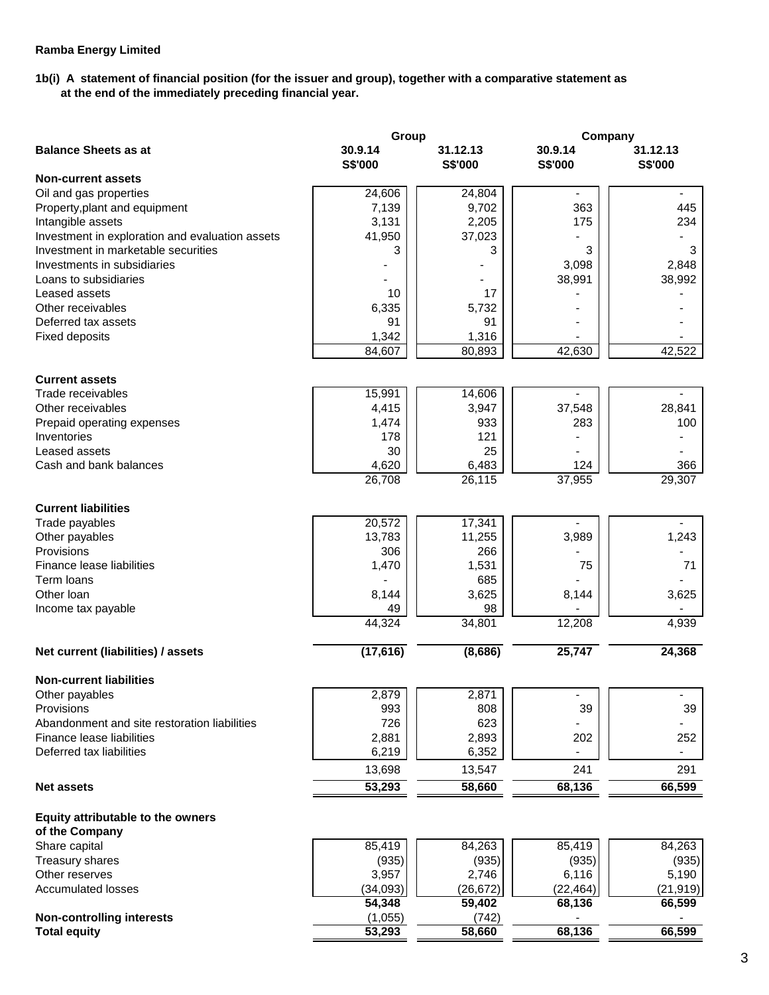# **1b(i) A statement of financial position (for the issuer and group), together with a comparative statement as at the end of the immediately preceding financial year.**

|                                                      | Group              |                     | Company                   |                            |  |  |
|------------------------------------------------------|--------------------|---------------------|---------------------------|----------------------------|--|--|
| <b>Balance Sheets as at</b>                          | 30.9.14<br>S\$'000 | 31.12.13<br>S\$'000 | 30.9.14<br><b>S\$'000</b> | 31.12.13<br><b>S\$'000</b> |  |  |
| <b>Non-current assets</b>                            |                    |                     |                           |                            |  |  |
| Oil and gas properties                               | 24,606             | 24,804              | $\overline{\phantom{a}}$  | $\blacksquare$             |  |  |
| Property, plant and equipment                        | 7,139              | 9,702               | 363                       | 445                        |  |  |
| Intangible assets                                    | 3,131              | 2,205               | 175                       | 234                        |  |  |
| Investment in exploration and evaluation assets      | 41,950             | 37,023              |                           |                            |  |  |
| Investment in marketable securities                  | 3                  | 3                   | 3                         | 3                          |  |  |
| Investments in subsidiaries<br>Loans to subsidiaries |                    |                     | 3,098                     | 2,848                      |  |  |
| Leased assets                                        | 10                 | 17                  | 38,991                    | 38,992                     |  |  |
| Other receivables                                    | 6,335              | 5,732               |                           |                            |  |  |
| Deferred tax assets                                  | 91                 | 91                  |                           |                            |  |  |
| <b>Fixed deposits</b>                                | 1,342              | 1,316               |                           |                            |  |  |
|                                                      | 84,607             | 80,893              | 42,630                    | 42,522                     |  |  |
|                                                      |                    |                     |                           |                            |  |  |
| <b>Current assets</b><br>Trade receivables           | 15,991             | 14,606              |                           |                            |  |  |
| Other receivables                                    | 4,415              | 3,947               | 37,548                    | 28,841                     |  |  |
| Prepaid operating expenses                           | 1,474              | 933                 | 283                       | 100                        |  |  |
| Inventories                                          | 178                | 121                 |                           |                            |  |  |
| Leased assets                                        | 30                 | 25                  |                           |                            |  |  |
| Cash and bank balances                               | 4,620              | 6,483               | 124                       | 366                        |  |  |
|                                                      | 26,708             | 26,115              | 37,955                    | 29,307                     |  |  |
| <b>Current liabilities</b>                           |                    |                     |                           |                            |  |  |
| Trade payables                                       | 20,572             | 17,341              |                           |                            |  |  |
| Other payables                                       | 13,783             | 11,255              | 3,989                     | 1,243                      |  |  |
| Provisions                                           | 306                | 266                 |                           |                            |  |  |
| Finance lease liabilities                            | 1,470              | 1,531               | 75                        | 71                         |  |  |
| Term loans                                           |                    | 685                 |                           |                            |  |  |
| Other Ioan                                           | 8,144              | 3,625               | 8,144                     | 3,625                      |  |  |
| Income tax payable                                   | 49                 | 98                  |                           |                            |  |  |
|                                                      | 44,324             | 34,801              | 12,208                    | 4,939                      |  |  |
| Net current (liabilities) / assets                   | (17, 616)          | (8,686)             | 25,747                    | 24,368                     |  |  |
| <b>Non-current liabilities</b>                       |                    |                     |                           |                            |  |  |
| Other payables                                       | 2,879              | 2,871               |                           |                            |  |  |
| Provisions                                           | 993                | 808                 | 39                        | 39                         |  |  |
| Abandonment and site restoration liabilities         | 726                | 623                 |                           |                            |  |  |
| Finance lease liabilities                            | 2,881              | 2,893               | 202                       | 252                        |  |  |
| Deferred tax liabilities                             | 6,219              | 6,352               |                           |                            |  |  |
|                                                      | 13,698             | 13,547              | 241                       | 291                        |  |  |
| <b>Net assets</b>                                    | 53,293             | 58,660              | 68,136                    | 66,599                     |  |  |
| Equity attributable to the owners                    |                    |                     |                           |                            |  |  |
| of the Company                                       |                    |                     |                           |                            |  |  |
| Share capital                                        | 85,419             | 84,263              | 85,419                    | 84,263                     |  |  |
| Treasury shares                                      | (935)              | (935)               | (935)                     | (935)                      |  |  |
| Other reserves                                       | 3,957              | 2,746               | 6,116                     | 5,190                      |  |  |
| <b>Accumulated losses</b>                            | (34, 093)          | (26, 672)           | (22, 464)                 | (21, 919)                  |  |  |
|                                                      | 54,348             | 59,402              | 68,136                    | 66,599                     |  |  |
| <b>Non-controlling interests</b>                     | (1,055)            | (742)               |                           |                            |  |  |
| <b>Total equity</b>                                  | 53,293             | 58,660              | 68,136                    | 66,599                     |  |  |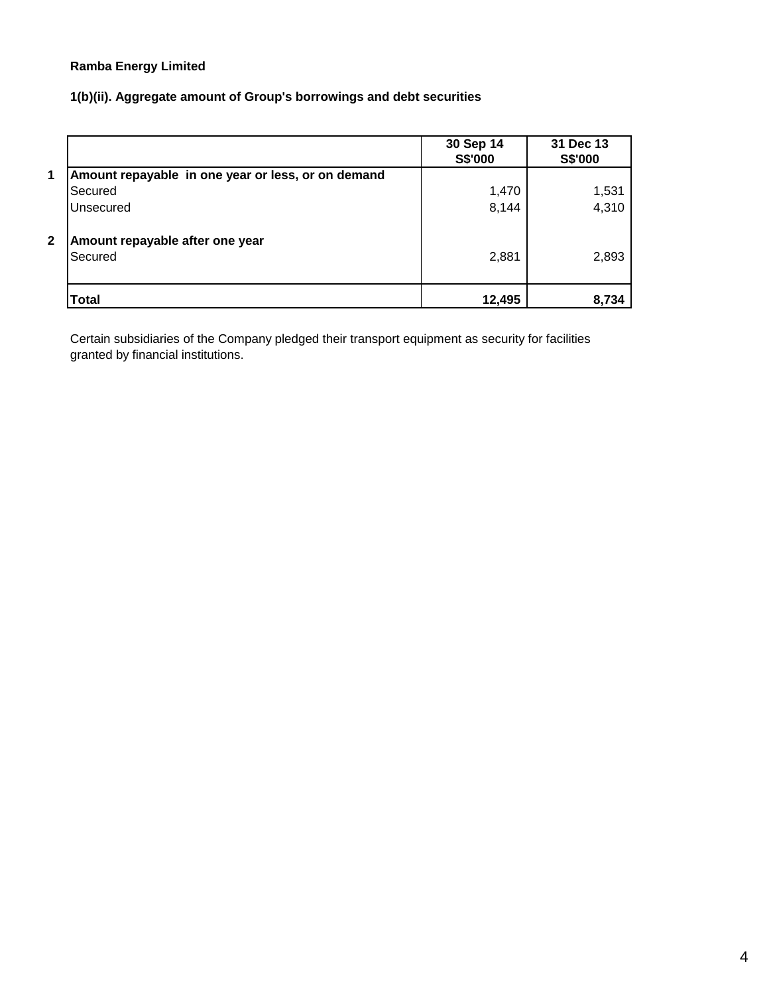# **1(b)(ii). Aggregate amount of Group's borrowings and debt securities**

|              |                                                    | 30 Sep 14<br>S\$'000 | 31 Dec 13<br>S\$'000 |
|--------------|----------------------------------------------------|----------------------|----------------------|
| 1            | Amount repayable in one year or less, or on demand |                      |                      |
|              | Secured                                            | 1,470                | 1,531                |
|              | Unsecured                                          | 8,144                | 4,310                |
| $\mathbf{2}$ | Amount repayable after one year<br>Secured         | 2,881                | 2,893                |
|              | Total                                              | 12,495               | 8,734                |

Certain subsidiaries of the Company pledged their transport equipment as security for facilities granted by financial institutions.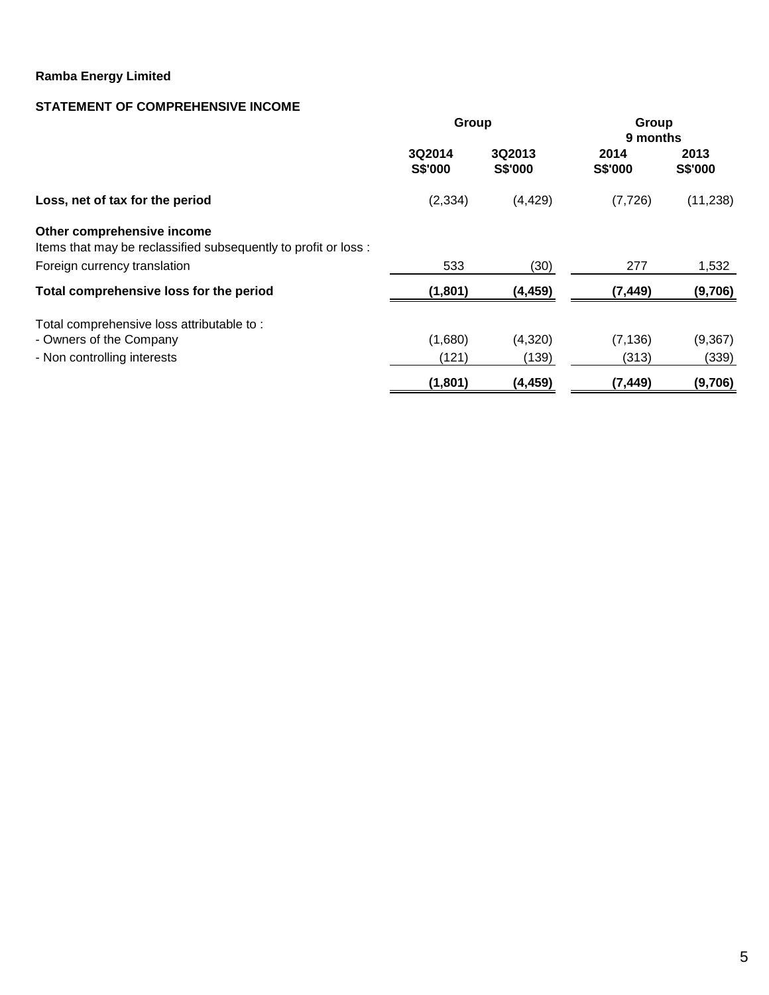# **STATEMENT OF COMPREHENSIVE INCOME**

|                                                                                               | Group                    |                   | Group<br>9 months |                 |
|-----------------------------------------------------------------------------------------------|--------------------------|-------------------|-------------------|-----------------|
|                                                                                               | 3Q2014<br><b>S\$'000</b> | 3Q2013<br>S\$'000 | 2014<br>S\$'000   | 2013<br>S\$'000 |
| Loss, net of tax for the period                                                               | (2, 334)                 | (4, 429)          | (7, 726)          | (11, 238)       |
| Other comprehensive income<br>Items that may be reclassified subsequently to profit or loss : |                          |                   |                   |                 |
| Foreign currency translation                                                                  | 533                      | (30)              | 277               | 1,532           |
| Total comprehensive loss for the period                                                       | (1,801)                  | (4, 459)          | (7, 449)          | (9,706)         |
| Total comprehensive loss attributable to:                                                     |                          |                   |                   |                 |
| - Owners of the Company                                                                       | (1,680)                  | (4,320)           | (7, 136)          | (9, 367)        |
| - Non controlling interests                                                                   | (121)                    | (139)             | (313)             | (339)           |
|                                                                                               | (1,801)                  | (4, 459)          | (7, 449)          | (9,706)         |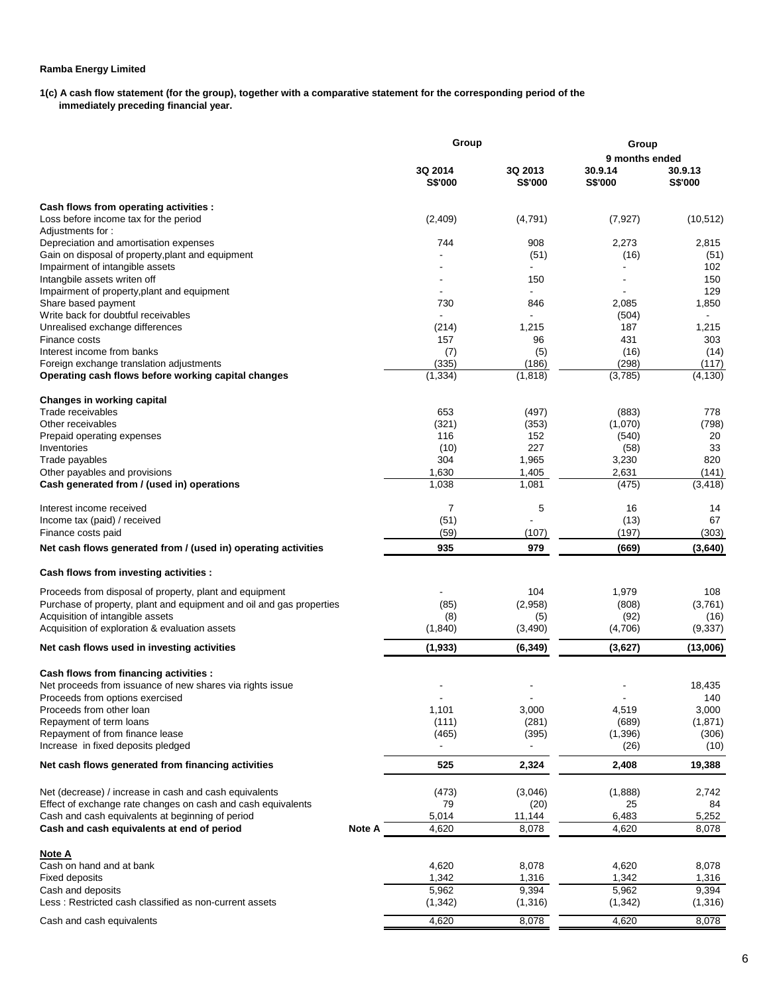**1(c) A cash flow statement (for the group), together with a comparative statement for the corresponding period of the immediately preceding financial year.** 

|                                                                                                     |        | Group              |                    | Group              |                    |  |  |
|-----------------------------------------------------------------------------------------------------|--------|--------------------|--------------------|--------------------|--------------------|--|--|
|                                                                                                     |        |                    |                    | 9 months ended     |                    |  |  |
|                                                                                                     |        | 3Q 2014<br>S\$'000 | 3Q 2013<br>S\$'000 | 30.9.14<br>S\$'000 | 30.9.13<br>S\$'000 |  |  |
| Cash flows from operating activities :                                                              |        |                    |                    |                    |                    |  |  |
| Loss before income tax for the period                                                               |        | (2, 409)           | (4,791)            | (7, 927)           | (10, 512)          |  |  |
| Adjustments for:                                                                                    |        |                    |                    |                    |                    |  |  |
| Depreciation and amortisation expenses                                                              |        | 744                | 908                | 2,273              | 2,815              |  |  |
| Gain on disposal of property, plant and equipment                                                   |        |                    | (51)               | (16)               | (51)               |  |  |
| Impairment of intangible assets                                                                     |        |                    |                    |                    | 102                |  |  |
| Intangbile assets writen off                                                                        |        |                    | 150                |                    | 150                |  |  |
| Impairment of property, plant and equipment                                                         |        |                    |                    |                    | 129                |  |  |
| Share based payment                                                                                 |        | 730                | 846                | 2,085              | 1,850              |  |  |
| Write back for doubtful receivables                                                                 |        |                    |                    | (504)              |                    |  |  |
| Unrealised exchange differences                                                                     |        | (214)              | 1,215              | 187                | 1,215              |  |  |
| Finance costs                                                                                       |        | 157                | 96                 | 431                | 303                |  |  |
| Interest income from banks                                                                          |        | (7)                | (5)                | (16)               | (14)               |  |  |
| Foreign exchange translation adjustments                                                            |        | (335)              | (186)              | (298)              | (117)              |  |  |
| Operating cash flows before working capital changes                                                 |        | (1, 334)           | (1, 818)           | (3,785)            | (4, 130)           |  |  |
| <b>Changes in working capital</b>                                                                   |        |                    |                    |                    |                    |  |  |
| Trade receivables                                                                                   |        | 653                | (497)              | (883)              | 778                |  |  |
| Other receivables<br>Prepaid operating expenses                                                     |        | (321)              | (353)              | (1,070)            | (798)              |  |  |
|                                                                                                     |        | 116                | 152<br>227         | (540)              | 20<br>33           |  |  |
| Inventories<br>Trade payables                                                                       |        | (10)<br>304        | 1,965              | (58)<br>3,230      | 820                |  |  |
| Other payables and provisions                                                                       |        | 1,630              | 1,405              | 2,631              | (141)              |  |  |
| Cash generated from / (used in) operations                                                          |        | 1,038              | 1,081              | (475)              | (3, 418)           |  |  |
|                                                                                                     |        |                    |                    |                    |                    |  |  |
| Interest income received                                                                            |        | 7                  | 5                  | 16                 | 14                 |  |  |
| Income tax (paid) / received                                                                        |        | (51)               |                    | (13)               | 67                 |  |  |
| Finance costs paid                                                                                  |        | (59)               | (107)              | (197)              | (303)              |  |  |
| Net cash flows generated from / (used in) operating activities                                      |        | 935                | 979                | (669)              | (3,640)            |  |  |
| Cash flows from investing activities :                                                              |        |                    |                    |                    |                    |  |  |
| Proceeds from disposal of property, plant and equipment                                             |        |                    | 104                | 1,979              | 108                |  |  |
| Purchase of property, plant and equipment and oil and gas properties                                |        | (85)               | (2,958)            | (808)              | (3,761)            |  |  |
| Acquisition of intangible assets                                                                    |        | (8)                | (5)                | (92)               | (16)               |  |  |
| Acquisition of exploration & evaluation assets                                                      |        | (1,840)            | (3,490)            | (4,706)            | (9, 337)           |  |  |
| Net cash flows used in investing activities                                                         |        | (1, 933)           | (6, 349)           | (3,627)            | (13,006)           |  |  |
|                                                                                                     |        |                    |                    |                    |                    |  |  |
| Cash flows from financing activities :<br>Net proceeds from issuance of new shares via rights issue |        |                    |                    |                    | 18,435             |  |  |
| Proceeds from options exercised                                                                     |        |                    |                    |                    | 140                |  |  |
| Proceeds from other loan                                                                            |        | 1,101              | 3,000              | 4,519              | 3,000              |  |  |
| Repayment of term loans                                                                             |        | (111)              | (281)              | (689)              | (1,871)            |  |  |
| Repayment of from finance lease                                                                     |        | (465)              | (395)              | (1,396)            | (306)              |  |  |
| Increase in fixed deposits pledged                                                                  |        |                    |                    | (26)               | (10)               |  |  |
| Net cash flows generated from financing activities                                                  |        | 525                | 2,324              | 2,408              | 19,388             |  |  |
| Net (decrease) / increase in cash and cash equivalents                                              |        | (473)              | (3,046)            | (1,888)            | 2,742              |  |  |
| Effect of exchange rate changes on cash and cash equivalents                                        |        | 79                 | (20)               | 25                 | 84                 |  |  |
| Cash and cash equivalents at beginning of period                                                    |        | 5,014              | 11,144             | 6,483              | 5,252              |  |  |
| Cash and cash equivalents at end of period                                                          | Note A | 4,620              | 8,078              | 4,620              | 8,078              |  |  |
| <u>Note A</u>                                                                                       |        |                    |                    |                    |                    |  |  |
| Cash on hand and at bank                                                                            |        | 4,620              | 8,078              | 4,620              | 8,078              |  |  |
| <b>Fixed deposits</b>                                                                               |        | 1,342              | 1,316              | 1,342              | 1,316              |  |  |
| Cash and deposits                                                                                   |        | 5,962              | 9,394              | 5,962              | 9,394              |  |  |
| Less: Restricted cash classified as non-current assets                                              |        | (1, 342)           | (1, 316)           | (1, 342)           | (1,316)            |  |  |
|                                                                                                     |        |                    |                    |                    |                    |  |  |
| Cash and cash equivalents                                                                           |        | 4,620              | 8,078              | 4,620              | 8,078              |  |  |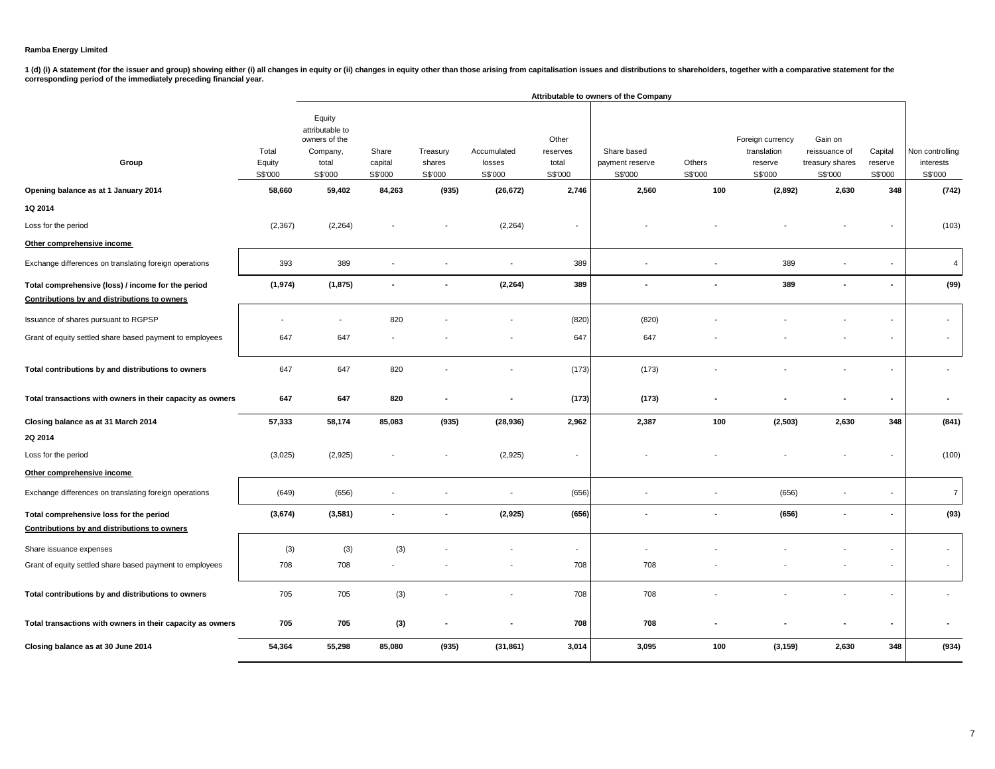1 (d) (i) A statement (for the issuer and group) showing either (i) all changes in equity or (ii) changes in equity other than those arising from capitalisation issues and distributions to shareholders, together with a com

|                                                                                                    |                            |                                                                            | Attributable to owners of the Company |                               |                                  |                                       |                                           |                          |                                                       |                                                        |                               |                                         |
|----------------------------------------------------------------------------------------------------|----------------------------|----------------------------------------------------------------------------|---------------------------------------|-------------------------------|----------------------------------|---------------------------------------|-------------------------------------------|--------------------------|-------------------------------------------------------|--------------------------------------------------------|-------------------------------|-----------------------------------------|
| Group                                                                                              | Total<br>Equity<br>S\$'000 | Equity<br>attributable to<br>owners of the<br>Company,<br>total<br>S\$'000 | Share<br>capital<br>S\$'000           | Treasury<br>shares<br>S\$'000 | Accumulated<br>losses<br>S\$'000 | Other<br>reserves<br>total<br>S\$'000 | Share based<br>payment reserve<br>S\$'000 | Others<br>S\$'000        | Foreign currency<br>translation<br>reserve<br>S\$'000 | Gain on<br>reissuance of<br>treasury shares<br>S\$'000 | Capital<br>reserve<br>S\$'000 | Non controlling<br>interests<br>S\$'000 |
| Opening balance as at 1 January 2014                                                               | 58,660                     | 59,402                                                                     | 84,263                                | (935)                         | (26, 672)                        | 2,746                                 | 2,560                                     | 100                      | (2,892)                                               | 2,630                                                  | 348                           | (742)                                   |
| 1Q 2014                                                                                            |                            |                                                                            |                                       |                               |                                  |                                       |                                           |                          |                                                       |                                                        |                               |                                         |
| Loss for the period                                                                                | (2, 367)                   | (2, 264)                                                                   |                                       |                               | (2, 264)                         | $\overline{\phantom{a}}$              |                                           |                          |                                                       |                                                        |                               | (103)                                   |
| Other comprehensive income                                                                         |                            |                                                                            |                                       |                               |                                  |                                       |                                           |                          |                                                       |                                                        |                               |                                         |
| Exchange differences on translating foreign operations                                             | 393                        | 389                                                                        |                                       |                               | $\overline{\phantom{a}}$         | 389                                   |                                           |                          | 389                                                   |                                                        |                               | 4                                       |
| Total comprehensive (loss) / income for the period<br>Contributions by and distributions to owners | (1, 974)                   | (1, 875)                                                                   |                                       |                               | (2, 264)                         | 389                                   | $\blacksquare$                            |                          | 389                                                   |                                                        |                               | (99)                                    |
| Issuance of shares pursuant to RGPSP                                                               |                            |                                                                            | 820                                   |                               |                                  | (820)                                 | (820)                                     |                          |                                                       |                                                        |                               | $\overline{\phantom{a}}$                |
| Grant of equity settled share based payment to employees                                           | 647                        | 647                                                                        |                                       |                               |                                  | 647                                   | 647                                       |                          |                                                       |                                                        |                               | $\overline{\phantom{a}}$                |
| Total contributions by and distributions to owners                                                 | 647                        | 647                                                                        | 820                                   |                               |                                  | (173)                                 | (173)                                     |                          |                                                       |                                                        |                               |                                         |
| Total transactions with owners in their capacity as owners                                         | 647                        | 647                                                                        | 820                                   |                               |                                  | (173)                                 | (173)                                     |                          |                                                       |                                                        |                               |                                         |
| Closing balance as at 31 March 2014                                                                | 57,333                     | 58,174                                                                     | 85,083                                | (935)                         | (28, 936)                        | 2,962                                 | 2,387                                     | 100                      | (2, 503)                                              | 2,630                                                  | 348                           | (841)                                   |
| 2Q 2014                                                                                            |                            |                                                                            |                                       |                               |                                  |                                       |                                           |                          |                                                       |                                                        |                               |                                         |
| Loss for the period                                                                                | (3,025)                    | (2,925)                                                                    |                                       |                               | (2,925)                          | -                                     |                                           |                          |                                                       |                                                        |                               | (100)                                   |
| Other comprehensive income                                                                         |                            |                                                                            |                                       |                               |                                  |                                       |                                           |                          |                                                       |                                                        |                               |                                         |
| Exchange differences on translating foreign operations                                             | (649)                      | (656)                                                                      |                                       |                               | $\overline{\phantom{a}}$         | (656)                                 |                                           |                          | (656)                                                 |                                                        |                               | $\overline{7}$                          |
| Total comprehensive loss for the period                                                            | (3,674)                    | (3,581)                                                                    |                                       |                               | (2,925)                          | (656)                                 | $\blacksquare$                            | $\overline{\phantom{a}}$ | (656)                                                 |                                                        | $\blacksquare$                | (93)                                    |
| Contributions by and distributions to owners                                                       |                            |                                                                            |                                       |                               |                                  |                                       |                                           |                          |                                                       |                                                        |                               |                                         |
| Share issuance expenses                                                                            | (3)                        | (3)                                                                        | (3)                                   |                               |                                  | $\overline{\phantom{a}}$              |                                           |                          |                                                       |                                                        |                               | $\overline{\phantom{a}}$                |
| Grant of equity settled share based payment to employees                                           | 708                        | 708                                                                        |                                       |                               |                                  | 708                                   | 708                                       |                          |                                                       |                                                        |                               | $\overline{\phantom{a}}$                |
| Total contributions by and distributions to owners                                                 | 705                        | 705                                                                        | (3)                                   |                               |                                  | 708                                   | 708                                       |                          |                                                       |                                                        |                               |                                         |
| Total transactions with owners in their capacity as owners                                         | 705                        | 705                                                                        | (3)                                   |                               |                                  | 708                                   | 708                                       |                          |                                                       |                                                        |                               |                                         |
| Closing balance as at 30 June 2014                                                                 | 54,364                     | 55,298                                                                     | 85,080                                | (935)                         | (31, 861)                        | 3,014                                 | 3,095                                     | 100                      | (3, 159)                                              | 2,630                                                  | 348                           | (934)                                   |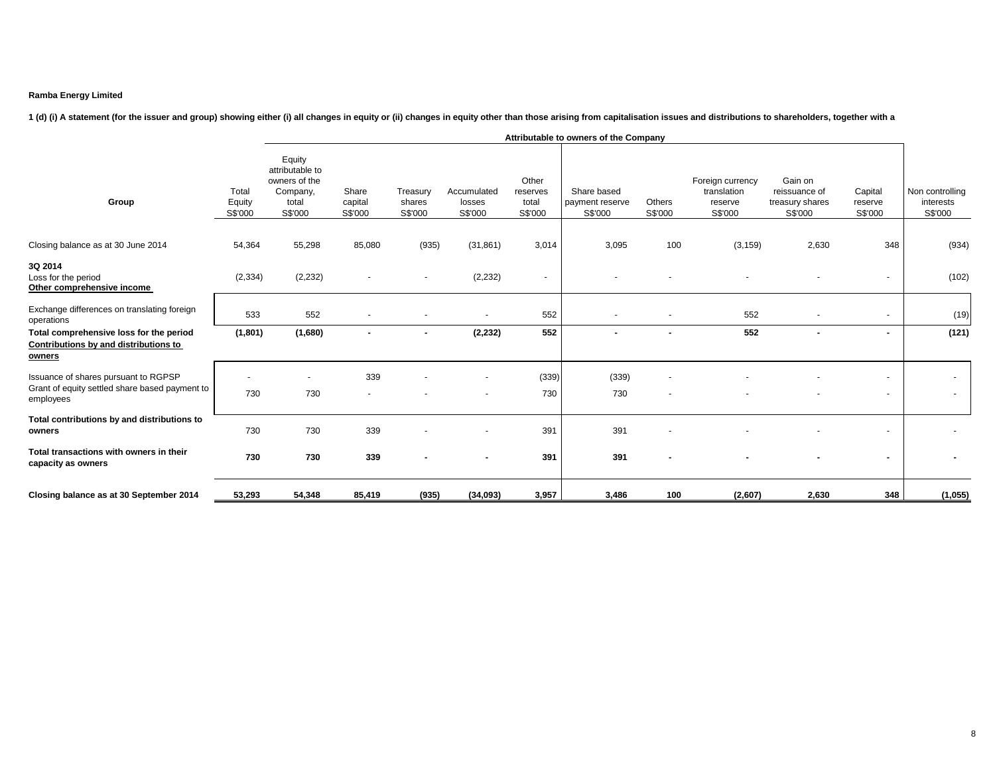# 1 (d) (i) A statement (for the issuer and group) showing either (i) all changes in equity or (ii) changes in equity other than those arising from capitalisation issues and distributions to shareholders, together with a

|                                                                                                     |                            | Attributable to owners of the Company                                      |                             |                               |                                  |                                       |                                           |                   |                                                       |                                                        |                                                      |                                         |
|-----------------------------------------------------------------------------------------------------|----------------------------|----------------------------------------------------------------------------|-----------------------------|-------------------------------|----------------------------------|---------------------------------------|-------------------------------------------|-------------------|-------------------------------------------------------|--------------------------------------------------------|------------------------------------------------------|-----------------------------------------|
| Group                                                                                               | Total<br>Equity<br>S\$'000 | Equity<br>attributable to<br>owners of the<br>Company,<br>total<br>S\$'000 | Share<br>capital<br>S\$'000 | Treasury<br>shares<br>S\$'000 | Accumulated<br>losses<br>S\$'000 | Other<br>reserves<br>total<br>S\$'000 | Share based<br>payment reserve<br>S\$'000 | Others<br>S\$'000 | Foreign currency<br>translation<br>reserve<br>S\$'000 | Gain on<br>reissuance of<br>treasury shares<br>S\$'000 | Capital<br>reserve<br>S\$'000                        | Non controlling<br>interests<br>S\$'000 |
| Closing balance as at 30 June 2014                                                                  | 54,364                     | 55,298                                                                     | 85,080                      | (935)                         | (31, 861)                        | 3,014                                 | 3,095                                     | 100               | (3, 159)                                              | 2,630                                                  | 348                                                  | (934)                                   |
| 3Q 2014<br>Loss for the period<br>Other comprehensive income                                        | (2, 334)                   | (2, 232)                                                                   |                             | $\overline{\phantom{a}}$      | (2, 232)                         | $\sim$                                |                                           |                   |                                                       |                                                        | $\blacksquare$                                       | (102)                                   |
| Exchange differences on translating foreign<br>operations                                           | 533                        | 552                                                                        |                             |                               | $\sim$                           | 552                                   |                                           |                   | 552                                                   | $\overline{\phantom{a}}$                               | $\overline{\phantom{a}}$                             | (19)                                    |
| Total comprehensive loss for the period<br>Contributions by and distributions to<br>owners          | (1, 801)                   | (1,680)                                                                    |                             | $\blacksquare$                | (2, 232)                         | 552                                   |                                           | $\blacksquare$    | 552                                                   | $\blacksquare$                                         | $\blacksquare$                                       | (121)                                   |
| Issuance of shares pursuant to RGPSP<br>Grant of equity settled share based payment to<br>employees | 730                        | 730                                                                        | 339                         |                               |                                  | (339)<br>730                          | (339)<br>730                              |                   |                                                       |                                                        | $\overline{\phantom{a}}$<br>$\overline{\phantom{a}}$ | $\sim$<br>$\sim$                        |
| Total contributions by and distributions to<br>owners                                               | 730                        | 730                                                                        | 339                         |                               |                                  | 391                                   | 391                                       |                   |                                                       |                                                        | $\overline{\phantom{a}}$                             |                                         |
| Total transactions with owners in their<br>capacity as owners                                       | 730                        | 730                                                                        | 339                         |                               | $\blacksquare$                   | 391                                   | 391                                       |                   |                                                       |                                                        | $\blacksquare$                                       | ۰                                       |
| Closing balance as at 30 September 2014                                                             | 53,293                     | 54,348                                                                     | 85,419                      | (935)                         | (34,093)                         | 3,957                                 | 3,486                                     | 100               | (2,607)                                               | 2,630                                                  | 348                                                  | (1,055)                                 |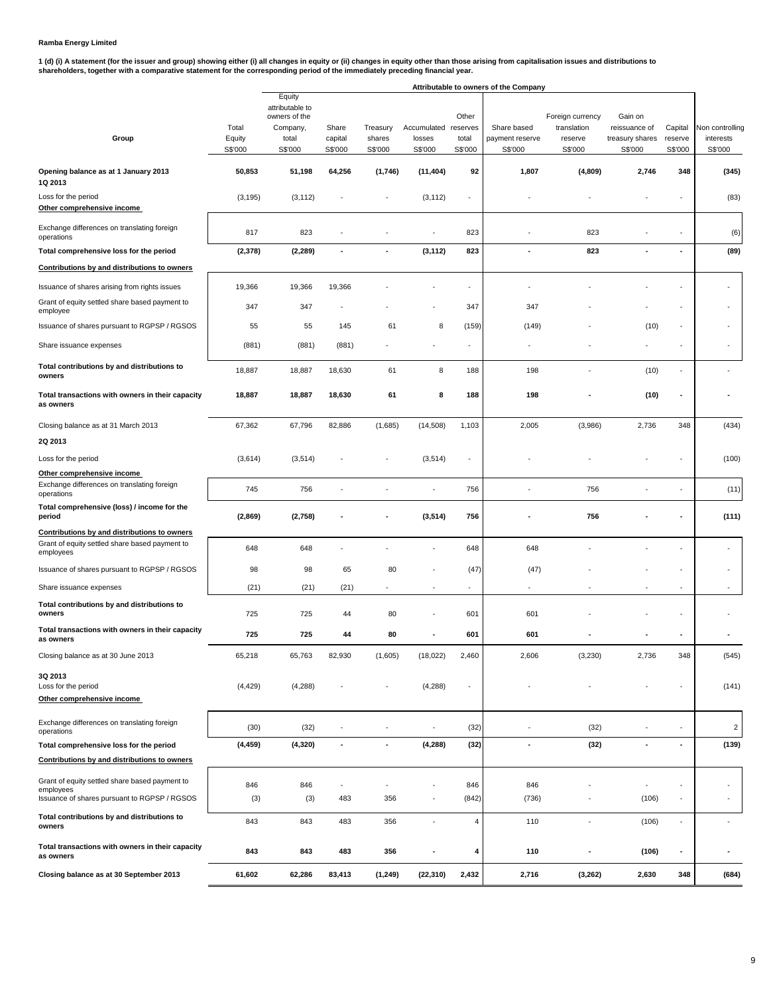1 (d) (i) A statement (for the issuer and group) showing either (i) all changes in equity or (ii) changes in equity other than those arising from capitalisation issues and distributions to<br>shareholders, together with a com

|                                                                                                             |                            | Attributable to owners of the Company                                      |                             |                               |                                           |                           |                                           |                                                       |                                                        |                               |                                         |
|-------------------------------------------------------------------------------------------------------------|----------------------------|----------------------------------------------------------------------------|-----------------------------|-------------------------------|-------------------------------------------|---------------------------|-------------------------------------------|-------------------------------------------------------|--------------------------------------------------------|-------------------------------|-----------------------------------------|
| Group                                                                                                       | Total<br>Equity<br>S\$'000 | Equity<br>attributable to<br>owners of the<br>Company,<br>total<br>S\$'000 | Share<br>capital<br>S\$'000 | Treasury<br>shares<br>S\$'000 | Accumulated reserves<br>losses<br>S\$'000 | Other<br>total<br>S\$'000 | Share based<br>payment reserve<br>S\$'000 | Foreign currency<br>translation<br>reserve<br>S\$'000 | Gain on<br>reissuance of<br>treasury shares<br>S\$'000 | Capital<br>reserve<br>S\$'000 | Non controlling<br>interests<br>S\$'000 |
| Opening balance as at 1 January 2013<br>1Q 2013                                                             | 50,853                     | 51,198                                                                     | 64,256                      | (1,746)                       | (11, 404)                                 | 92                        | 1,807                                     | (4,809)                                               | 2,746                                                  | 348                           | (345)                                   |
| Loss for the period<br>Other comprehensive income                                                           | (3, 195)                   | (3, 112)                                                                   |                             |                               | (3, 112)                                  |                           |                                           |                                                       |                                                        |                               | (83)                                    |
| Exchange differences on translating foreign<br>operations                                                   | 817                        | 823                                                                        |                             |                               |                                           | 823                       |                                           | 823                                                   |                                                        |                               | (6)                                     |
| Total comprehensive loss for the period                                                                     | (2,378)                    | (2, 289)                                                                   | $\overline{a}$              | $\overline{\phantom{a}}$      | (3, 112)                                  | 823                       | ٠                                         | 823                                                   | ÷                                                      |                               | (89)                                    |
| Contributions by and distributions to owners                                                                |                            |                                                                            |                             |                               |                                           |                           |                                           |                                                       |                                                        |                               |                                         |
| Issuance of shares arising from rights issues                                                               | 19,366                     | 19,366                                                                     | 19,366                      |                               |                                           | $\sim$                    | ÷                                         |                                                       |                                                        |                               | ٠                                       |
| Grant of equity settled share based payment to<br>employee                                                  | 347                        | 347                                                                        |                             |                               |                                           | 347                       | 347                                       |                                                       |                                                        |                               |                                         |
| Issuance of shares pursuant to RGPSP / RGSOS                                                                | 55                         | 55                                                                         | 145                         | 61                            | 8                                         | (159)                     | (149)                                     |                                                       | (10)                                                   | ÷,                            |                                         |
| Share issuance expenses                                                                                     | (881)                      | (881)                                                                      | (881)                       |                               |                                           |                           |                                           |                                                       |                                                        |                               |                                         |
| Total contributions by and distributions to<br>owners                                                       | 18,887                     | 18,887                                                                     | 18,630                      | 61                            | 8                                         | 188                       | 198                                       |                                                       | (10)                                                   | ä,                            |                                         |
| Total transactions with owners in their capacity<br>as owners                                               | 18,887                     | 18,887                                                                     | 18,630                      | 61                            | 8                                         | 188                       | 198                                       |                                                       | (10)                                                   | $\blacksquare$                |                                         |
| Closing balance as at 31 March 2013                                                                         | 67,362                     | 67,796                                                                     | 82,886                      | (1,685)                       | (14,508)                                  | 1,103                     | 2,005                                     | (3,986)                                               | 2,736                                                  | 348                           | (434)                                   |
| 2Q 2013                                                                                                     |                            |                                                                            |                             |                               |                                           |                           |                                           |                                                       |                                                        |                               |                                         |
| Loss for the period                                                                                         | (3,614)                    | (3,514)                                                                    |                             |                               | (3, 514)                                  |                           |                                           |                                                       |                                                        |                               | (100)                                   |
| Other comprehensive income                                                                                  |                            |                                                                            |                             |                               |                                           |                           |                                           |                                                       |                                                        |                               |                                         |
| Exchange differences on translating foreign<br>operations                                                   | 745                        | 756                                                                        |                             |                               |                                           | 756                       |                                           | 756                                                   |                                                        |                               | (11)                                    |
| Total comprehensive (loss) / income for the<br>period                                                       | (2,869)                    | (2,758)                                                                    |                             |                               | (3, 514)                                  | 756                       |                                           | 756                                                   |                                                        |                               | (111)                                   |
| Contributions by and distributions to owners<br>Grant of equity settled share based payment to<br>employees | 648                        | 648                                                                        |                             |                               |                                           | 648                       | 648                                       |                                                       |                                                        |                               |                                         |
| Issuance of shares pursuant to RGPSP / RGSOS                                                                | 98                         | 98                                                                         | 65                          | 80                            |                                           | (47)                      | (47)                                      |                                                       |                                                        |                               | ٠                                       |
| Share issuance expenses                                                                                     | (21)                       | (21)                                                                       | (21)                        |                               |                                           |                           | ٠                                         |                                                       |                                                        | ä,                            |                                         |
| Total contributions by and distributions to<br>owners                                                       | 725                        | 725                                                                        | 44                          | 80                            |                                           | 601                       | 601                                       |                                                       |                                                        |                               |                                         |
| Total transactions with owners in their capacity<br>as owners                                               | 725                        | 725                                                                        | 44                          | 80                            |                                           | 601                       | 601                                       |                                                       |                                                        |                               |                                         |
| Closing balance as at 30 June 2013                                                                          | 65,218                     | 65,763                                                                     | 82,930                      | (1,605)                       | (18, 022)                                 | 2,460                     | 2,606                                     | (3,230)                                               | 2,736                                                  | 348                           | (545)                                   |
| 3Q 2013<br>Loss for the period<br>Other comprehensive income                                                | (4, 429)                   | (4,288)                                                                    |                             |                               | (4,288)                                   | $\overline{\phantom{a}}$  |                                           |                                                       |                                                        |                               | (141)                                   |
| Exchange differences on translating foreign<br>operations                                                   | (30)                       | (32)                                                                       | $\overline{\phantom{a}}$    | $\overline{\phantom{a}}$      |                                           | (32)                      |                                           | (32)                                                  |                                                        |                               | $\overline{2}$                          |
| Total comprehensive loss for the period                                                                     | (4, 459)                   | (4, 320)                                                                   | $\overline{\phantom{a}}$    |                               | (4, 288)                                  | (32)                      | ٠                                         | (32)                                                  |                                                        |                               | (139)                                   |
| Contributions by and distributions to owners                                                                |                            |                                                                            |                             |                               |                                           |                           |                                           |                                                       |                                                        |                               |                                         |
| Grant of equity settled share based payment to<br>employees                                                 | 846                        | 846                                                                        |                             |                               |                                           | 846                       | 846                                       |                                                       |                                                        |                               | ٠                                       |
| Issuance of shares pursuant to RGPSP / RGSOS                                                                | (3)                        | (3)                                                                        | 483                         | 356                           |                                           | (842)                     | (736)                                     |                                                       | (106)                                                  |                               |                                         |
| Total contributions by and distributions to<br>owners                                                       | 843                        | 843                                                                        | 483                         | 356                           | $\sim$                                    | $\overline{\mathbf{4}}$   | 110                                       | $\blacksquare$                                        | (106)                                                  | ÷,                            |                                         |
| Total transactions with owners in their capacity<br>as owners                                               | 843                        | 843                                                                        | 483                         | 356                           | $\blacksquare$                            | 4                         | 110                                       | ÷                                                     | (106)                                                  | $\overline{\phantom{a}}$      |                                         |
| Closing balance as at 30 September 2013                                                                     | 61,602                     | 62,286                                                                     | 83,413                      | (1, 249)                      | (22, 310)                                 | 2,432                     | 2,716                                     | (3,262)                                               | 2,630                                                  | 348                           | (684)                                   |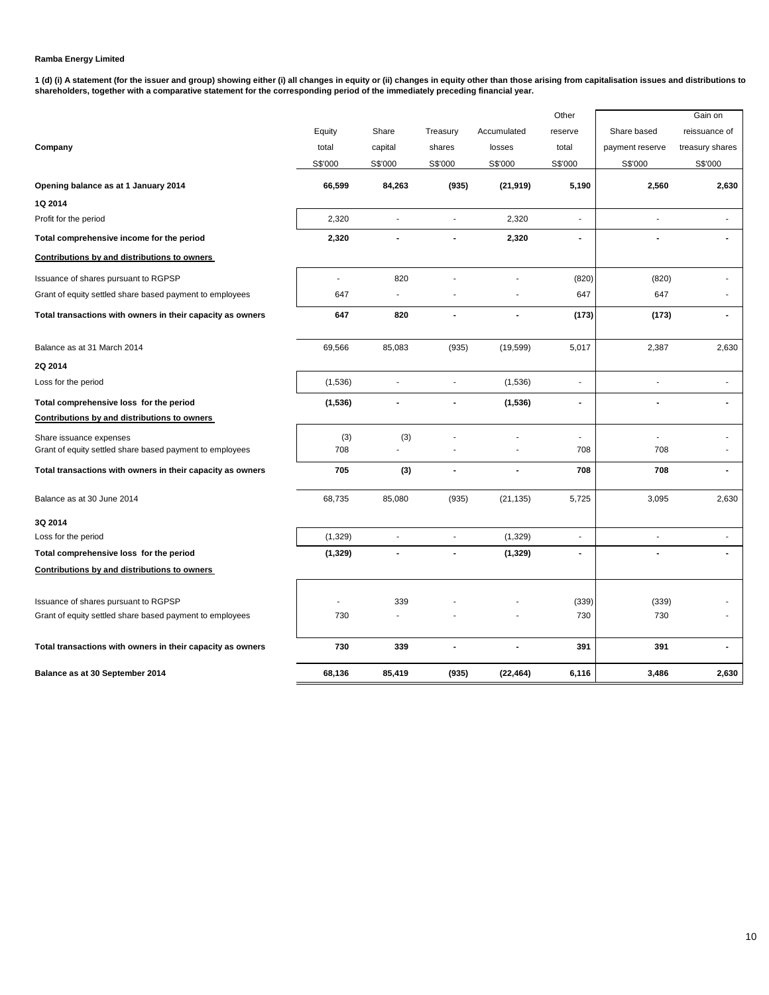**1 (d) (i) A statement (for the issuer and group) showing either (i) all changes in equity or (ii) changes in equity other than those arising from capitalisation issues and distributions to shareholders, together with a comparative statement for the corresponding period of the immediately preceding financial year.**

|                                                            |          |                      |                      |                | Other          |                 | Gain on         |
|------------------------------------------------------------|----------|----------------------|----------------------|----------------|----------------|-----------------|-----------------|
|                                                            | Equity   | Share                | Treasury             | Accumulated    | reserve        | Share based     | reissuance of   |
| Company                                                    | total    | capital              | shares               | losses         | total          | payment reserve | treasury shares |
|                                                            | S\$'000  | S\$'000              | S\$'000              | S\$'000        | S\$'000        | S\$'000         | S\$'000         |
| Opening balance as at 1 January 2014                       | 66,599   | 84,263               | (935)                | (21, 919)      | 5,190          | 2,560           | 2,630           |
| 1Q 2014                                                    |          |                      |                      |                |                |                 |                 |
| Profit for the period                                      | 2,320    |                      |                      | 2,320          | $\overline{a}$ |                 |                 |
| Total comprehensive income for the period                  | 2,320    | $\blacksquare$       | $\blacksquare$       | 2,320          | $\blacksquare$ | $\blacksquare$  | $\blacksquare$  |
| Contributions by and distributions to owners               |          |                      |                      |                |                |                 |                 |
| Issuance of shares pursuant to RGPSP                       | ÷.       | 820                  |                      |                | (820)          | (820)           |                 |
| Grant of equity settled share based payment to employees   | 647      | $\overline{a}$       |                      |                | 647            | 647             |                 |
| Total transactions with owners in their capacity as owners | 647      | 820                  | $\blacksquare$       | $\blacksquare$ | (173)          | (173)           | $\blacksquare$  |
| Balance as at 31 March 2014                                | 69,566   | 85,083               | (935)                | (19, 599)      | 5,017          | 2,387           | 2,630           |
| 2Q 2014                                                    |          |                      |                      |                |                |                 |                 |
| Loss for the period                                        | (1,536)  | $\ddot{\phantom{0}}$ | $\ddot{\phantom{0}}$ | (1,536)        | $\overline{a}$ | $\blacksquare$  |                 |
| Total comprehensive loss for the period                    | (1,536)  |                      |                      | (1, 536)       | Ĭ.             |                 |                 |
| Contributions by and distributions to owners               |          |                      |                      |                |                |                 |                 |
| Share issuance expenses                                    | (3)      | (3)                  |                      |                | $\overline{a}$ | $\overline{a}$  | ä,              |
| Grant of equity settled share based payment to employees   | 708      |                      |                      |                | 708            | 708             |                 |
| Total transactions with owners in their capacity as owners | 705      | (3)                  | $\blacksquare$       |                | 708            | 708             | $\blacksquare$  |
| Balance as at 30 June 2014                                 | 68,735   | 85,080               | (935)                | (21, 135)      | 5,725          | 3,095           | 2,630           |
| 3Q 2014                                                    |          |                      |                      |                |                |                 |                 |
| Loss for the period                                        | (1, 329) | ÷,                   | $\mathbf{r}$         | (1,329)        | ä,             | ä,              |                 |
| Total comprehensive loss for the period                    | (1, 329) | $\overline{a}$       | $\blacksquare$       | (1, 329)       | ٠              | $\overline{a}$  |                 |
| Contributions by and distributions to owners               |          |                      |                      |                |                |                 |                 |
| Issuance of shares pursuant to RGPSP                       |          | 339                  |                      |                | (339)          | (339)           |                 |
| Grant of equity settled share based payment to employees   | 730      |                      |                      |                | 730            | 730             |                 |
| Total transactions with owners in their capacity as owners | 730      | 339                  |                      | $\blacksquare$ | 391            | 391             | $\blacksquare$  |
| Balance as at 30 September 2014                            | 68,136   | 85,419               | (935)                | (22, 464)      | 6,116          | 3,486           | 2,630           |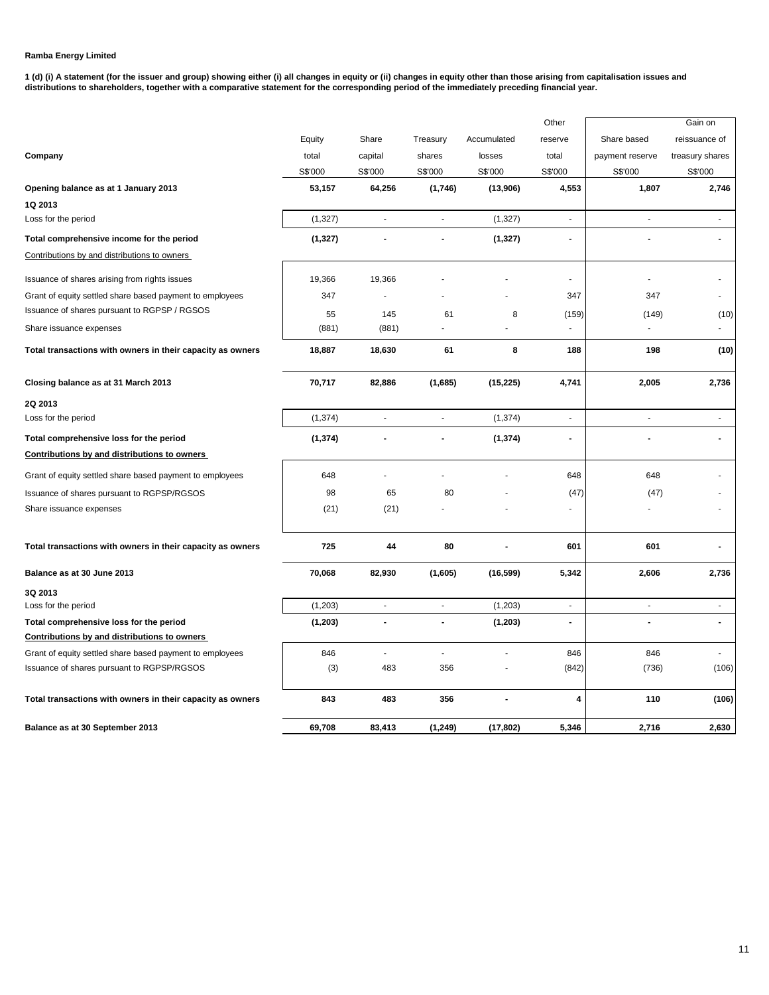**1 (d) (i) A statement (for the issuer and group) showing either (i) all changes in equity or (ii) changes in equity other than those arising from capitalisation issues and distributions to shareholders, together with a comparative statement for the corresponding period of the immediately preceding financial year.**

|                                                            |          |                          |                          |                | Other                    |                          | Gain on         |
|------------------------------------------------------------|----------|--------------------------|--------------------------|----------------|--------------------------|--------------------------|-----------------|
|                                                            | Equity   | Share                    | Treasury                 | Accumulated    | reserve                  | Share based              | reissuance of   |
| Company                                                    | total    | capital                  | shares                   | losses         | total                    | payment reserve          | treasury shares |
|                                                            | S\$'000  | S\$'000                  | S\$'000                  | S\$'000        | S\$'000                  | S\$'000                  | S\$'000         |
| Opening balance as at 1 January 2013                       | 53,157   | 64,256                   | (1,746)                  | (13,906)       | 4,553                    | 1,807                    | 2,746           |
| 1Q 2013                                                    |          |                          |                          |                |                          |                          |                 |
| Loss for the period                                        | (1, 327) | ÷,                       | $\sim$                   | (1, 327)       | ä,                       | ÷,                       | ä,              |
| Total comprehensive income for the period                  | (1, 327) |                          |                          | (1, 327)       | $\blacksquare$           |                          |                 |
| Contributions by and distributions to owners               |          |                          |                          |                |                          |                          |                 |
| Issuance of shares arising from rights issues              | 19,366   | 19,366                   |                          |                |                          |                          |                 |
| Grant of equity settled share based payment to employees   | 347      | $\overline{a}$           |                          |                | 347                      | 347                      |                 |
| Issuance of shares pursuant to RGPSP / RGSOS               | 55       | 145                      | 61                       | 8              | (159)                    | (149)                    | (10)            |
| Share issuance expenses                                    | (881)    | (881)                    |                          |                |                          |                          |                 |
| Total transactions with owners in their capacity as owners | 18,887   | 18,630                   | 61                       | 8              | 188                      | 198                      | (10)            |
| Closing balance as at 31 March 2013                        | 70,717   | 82,886                   | (1,685)                  | (15, 225)      | 4,741                    | 2,005                    | 2,736           |
| 2Q 2013                                                    |          |                          |                          |                |                          |                          |                 |
| Loss for the period                                        | (1, 374) | $\overline{\phantom{a}}$ | $\sim$                   | (1, 374)       | $\overline{\phantom{a}}$ |                          | ÷,              |
| Total comprehensive loss for the period                    | (1, 374) |                          |                          | (1, 374)       | $\blacksquare$           |                          |                 |
| Contributions by and distributions to owners               |          |                          |                          |                |                          |                          |                 |
| Grant of equity settled share based payment to employees   | 648      | ä,                       | ÷                        |                | 648                      | 648                      |                 |
| Issuance of shares pursuant to RGPSP/RGSOS                 | 98       | 65                       | 80                       |                | (47)                     | (47)                     |                 |
| Share issuance expenses                                    | (21)     | (21)                     |                          |                | $\sim$                   |                          |                 |
| Total transactions with owners in their capacity as owners | 725      | 44                       | 80                       |                | 601                      | 601                      |                 |
| Balance as at 30 June 2013                                 | 70,068   | 82,930                   | (1,605)                  | (16, 599)      | 5,342                    | 2,606                    | 2,736           |
| 3Q 2013                                                    |          |                          |                          |                |                          |                          |                 |
| Loss for the period                                        | (1,203)  | $\overline{\phantom{a}}$ | $\blacksquare$           | (1,203)        | $\overline{\phantom{a}}$ | $\overline{\phantom{a}}$ | $\blacksquare$  |
| Total comprehensive loss for the period                    | (1, 203) | $\blacksquare$           | $\overline{\phantom{a}}$ | (1, 203)       | $\blacksquare$           |                          | $\blacksquare$  |
| Contributions by and distributions to owners               |          |                          |                          |                |                          |                          |                 |
| Grant of equity settled share based payment to employees   | 846      | $\mathbf{r}$             | ä,                       |                | 846                      | 846                      |                 |
| Issuance of shares pursuant to RGPSP/RGSOS                 | (3)      | 483                      | 356                      |                | (842)                    | (736)                    | (106)           |
| Total transactions with owners in their capacity as owners | 843      | 483                      | 356                      | $\blacksquare$ | 4                        | 110                      | (106)           |
| Balance as at 30 September 2013                            | 69,708   | 83,413                   | (1, 249)                 | (17, 802)      | 5.346                    | 2,716                    | 2,630           |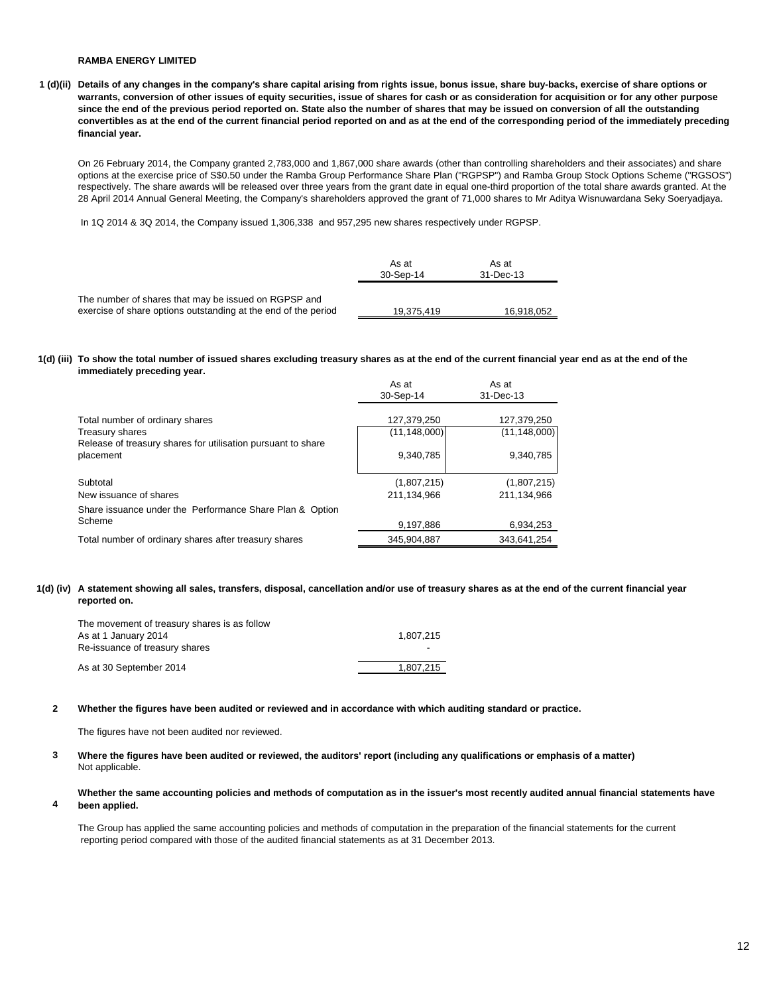**1 (d)(ii) Details of any changes in the company's share capital arising from rights issue, bonus issue, share buy-backs, exercise of share options or warrants, conversion of other issues of equity securities, issue of shares for cash or as consideration for acquisition or for any other purpose since the end of the previous period reported on. State also the number of shares that may be issued on conversion of all the outstanding convertibles as at the end of the current financial period reported on and as at the end of the corresponding period of the immediately preceding financial year.**

On 26 February 2014, the Company granted 2,783,000 and 1,867,000 share awards (other than controlling shareholders and their associates) and share options at the exercise price of S\$0.50 under the Ramba Group Performance Share Plan ("RGPSP") and Ramba Group Stock Options Scheme ("RGSOS") respectively. The share awards will be released over three years from the grant date in equal one-third proportion of the total share awards granted. At the 28 April 2014 Annual General Meeting, the Company's shareholders approved the grant of 71,000 shares to Mr Aditya Wisnuwardana Seky Soeryadjaya.

In 1Q 2014 & 3Q 2014, the Company issued 1,306,338 and 957,295 new shares respectively under RGPSP.

|                                                                                                                        | As at<br>30-Sep-14 | As at<br>31-Dec-13 |
|------------------------------------------------------------------------------------------------------------------------|--------------------|--------------------|
| The number of shares that may be issued on RGPSP and<br>exercise of share options outstanding at the end of the period | 19.375.419         | 16,918,052         |

#### **1(d) (iii) To show the total number of issued shares excluding treasury shares as at the end of the current financial year end as at the end of the immediately preceding year.**

|                                                                           | As at<br>30-Sep-14 | As at<br>31-Dec-13 |
|---------------------------------------------------------------------------|--------------------|--------------------|
| Total number of ordinary shares                                           | 127,379,250        | 127,379,250        |
| <b>Treasury shares</b>                                                    | (11,148,000)       | (11, 148, 000)     |
| Release of treasury shares for utilisation pursuant to share<br>placement | 9.340.785          | 9,340,785          |
| Subtotal                                                                  | (1,807,215)        | (1,807,215)        |
| New issuance of shares                                                    | 211.134.966        | 211.134.966        |
| Share issuance under the Performance Share Plan & Option                  |                    |                    |
| Scheme                                                                    | 9,197,886          | 6,934,253          |
| Total number of ordinary shares after treasury shares                     | 345.904.887        | 343.641.254        |

#### **1(d) (iv) A statement showing all sales, transfers, disposal, cancellation and/or use of treasury shares as at the end of the current financial year reported on.**

| The movement of treasury shares is as follow<br>As at 1 January 2014<br>Re-issuance of treasury shares | 1.807.215<br>۰ |
|--------------------------------------------------------------------------------------------------------|----------------|
| As at 30 September 2014                                                                                | 1.807.215      |

#### **2 Whether the figures have been audited or reviewed and in accordance with which auditing standard or practice.**

The figures have not been audited nor reviewed.

- **3** Not applicable. **Where the figures have been audited or reviewed, the auditors' report (including any qualifications or emphasis of a matter)**
- **4 Whether the same accounting policies and methods of computation as in the issuer's most recently audited annual financial statements have been applied.**

The Group has applied the same accounting policies and methods of computation in the preparation of the financial statements for the current reporting period compared with those of the audited financial statements as at 31 December 2013.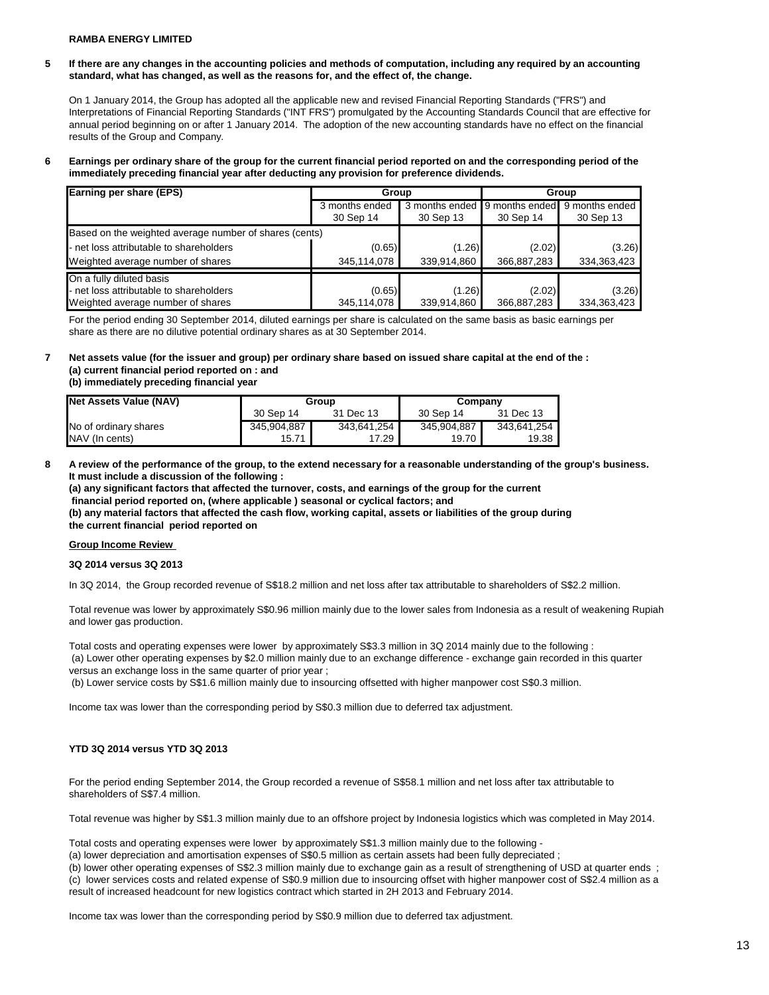**5 If there are any changes in the accounting policies and methods of computation, including any required by an accounting standard, what has changed, as well as the reasons for, and the effect of, the change.**

On 1 January 2014, the Group has adopted all the applicable new and revised Financial Reporting Standards ("FRS") and Interpretations of Financial Reporting Standards ("INT FRS") promulgated by the Accounting Standards Council that are effective for annual period beginning on or after 1 January 2014. The adoption of the new accounting standards have no effect on the financial results of the Group and Company.

#### **6 Earnings per ordinary share of the group for the current financial period reported on and the corresponding period of the immediately preceding financial year after deducting any provision for preference dividends.**

| Earning per share (EPS)                                | Group          |                | Group          |                |
|--------------------------------------------------------|----------------|----------------|----------------|----------------|
|                                                        | 3 months ended | 3 months ended | 9 months ended | 9 months ended |
|                                                        | 30 Sep 14      | 30 Sep 13      | 30 Sep 14      | 30 Sep 13      |
| Based on the weighted average number of shares (cents) |                |                |                |                |
| - net loss attributable to shareholders                | (0.65)         | (1.26)         | (2.02)         | (3.26)         |
| Weighted average number of shares                      | 345,114,078    | 339,914,860    | 366,887,283    | 334,363,423    |
| On a fully diluted basis                               |                |                |                |                |
| - net loss attributable to shareholders                | (0.65)         | (1.26)         | (2.02)         | (3.26)         |
| Weighted average number of shares                      | 345,114,078    | 339,914,860    | 366,887,283    | 334,363,423    |

For the period ending 30 September 2014, diluted earnings per share is calculated on the same basis as basic earnings per share as there are no dilutive potential ordinary shares as at 30 September 2014.

# **7 Net assets value (for the issuer and group) per ordinary share based on issued share capital at the end of the : (a) current financial period reported on : and**

**(b) immediately preceding financial year** 

| Net Assets Value (NAV) | Group       |             | Company     |             |
|------------------------|-------------|-------------|-------------|-------------|
|                        | 30 Sep 14   | 31 Dec 13   | 30 Sep 14   | 31 Dec 13   |
| No of ordinary shares  | 345,904,887 | 343,641,254 | 345,904,887 | 343,641,254 |
| NAV (In cents)         | 15.71       | 17.29       | 19.70       | 19.38       |

**8 A review of the performance of the group, to the extend necessary for a reasonable understanding of the group's business. It must include a discussion of the following :** 

**(a) any significant factors that affected the turnover, costs, and earnings of the group for the current financial period reported on, (where applicable ) seasonal or cyclical factors; and (b) any material factors that affected the cash flow, working capital, assets or liabilities of the group during the current financial period reported on** 

#### **Group Income Review**

#### **3Q 2014 versus 3Q 2013**

In 3Q 2014, the Group recorded revenue of S\$18.2 million and net loss after tax attributable to shareholders of S\$2.2 million.

Total revenue was lower by approximately S\$0.96 million mainly due to the lower sales from Indonesia as a result of weakening Rupiah and lower gas production.

Total costs and operating expenses were lower by approximately S\$3.3 million in 3Q 2014 mainly due to the following : (a) Lower other operating expenses by \$2.0 million mainly due to an exchange difference - exchange gain recorded in this quarter versus an exchange loss in the same quarter of prior year ;

(b) Lower service costs by S\$1.6 million mainly due to insourcing offsetted with higher manpower cost S\$0.3 million.

Income tax was lower than the corresponding period by S\$0.3 million due to deferred tax adjustment.

### **YTD 3Q 2014 versus YTD 3Q 2013**

For the period ending September 2014, the Group recorded a revenue of S\$58.1 million and net loss after tax attributable to shareholders of S\$7.4 million.

Total revenue was higher by S\$1.3 million mainly due to an offshore project by Indonesia logistics which was completed in May 2014.

Total costs and operating expenses were lower by approximately S\$1.3 million mainly due to the following -

(a) lower depreciation and amortisation expenses of S\$0.5 million as certain assets had been fully depreciated ;

(b) lower other operating expenses of S\$2.3 million mainly due to exchange gain as a result of strengthening of USD at quarter ends ; (c) lower services costs and related expense of S\$0.9 million due to insourcing offset with higher manpower cost of S\$2.4 million as a result of increased headcount for new logistics contract which started in 2H 2013 and February 2014.

Income tax was lower than the corresponding period by S\$0.9 million due to deferred tax adjustment.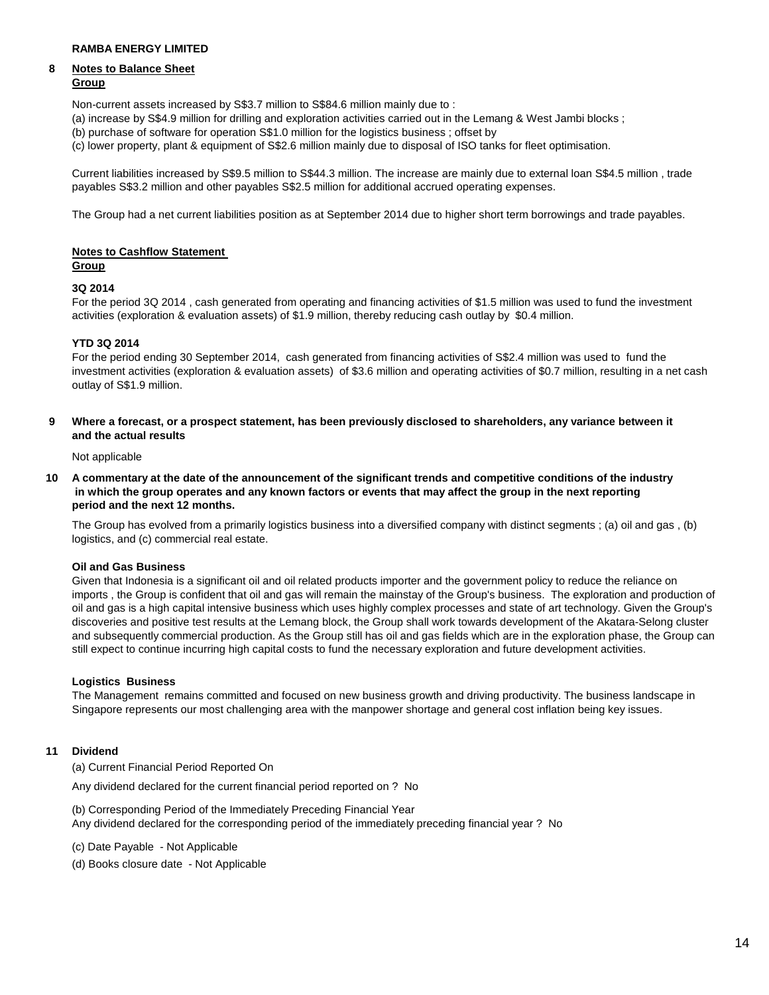# **8 Notes to Balance Sheet**

# **Group**

Non-current assets increased by S\$3.7 million to S\$84.6 million mainly due to :

- (a) increase by S\$4.9 million for drilling and exploration activities carried out in the Lemang & West Jambi blocks ;
- (b) purchase of software for operation S\$1.0 million for the logistics business ; offset by
- (c) lower property, plant & equipment of S\$2.6 million mainly due to disposal of ISO tanks for fleet optimisation.

Current liabilities increased by S\$9.5 million to S\$44.3 million. The increase are mainly due to external loan S\$4.5 million , trade payables S\$3.2 million and other payables S\$2.5 million for additional accrued operating expenses.

The Group had a net current liabilities position as at September 2014 due to higher short term borrowings and trade payables.

#### **Notes to Cashflow Statement Group**

# **3Q 2014**

For the period 3Q 2014 , cash generated from operating and financing activities of \$1.5 million was used to fund the investment activities (exploration & evaluation assets) of \$1.9 million, thereby reducing cash outlay by \$0.4 million.

### **YTD 3Q 2014**

For the period ending 30 September 2014, cash generated from financing activities of S\$2.4 million was used to fund the investment activities (exploration & evaluation assets) of \$3.6 million and operating activities of \$0.7 million, resulting in a net cash outlay of S\$1.9 million.

**9 Where a forecast, or a prospect statement, has been previously disclosed to shareholders, any variance between it and the actual results** 

Not applicable

**10 A commentary at the date of the announcement of the significant trends and competitive conditions of the industry in which the group operates and any known factors or events that may affect the group in the next reporting period and the next 12 months.** 

The Group has evolved from a primarily logistics business into a diversified company with distinct segments ; (a) oil and gas , (b) logistics, and (c) commercial real estate.

## **Oil and Gas Business**

Given that Indonesia is a significant oil and oil related products importer and the government policy to reduce the reliance on imports , the Group is confident that oil and gas will remain the mainstay of the Group's business. The exploration and production of oil and gas is a high capital intensive business which uses highly complex processes and state of art technology. Given the Group's discoveries and positive test results at the Lemang block, the Group shall work towards development of the Akatara-Selong cluster and subsequently commercial production. As the Group still has oil and gas fields which are in the exploration phase, the Group can still expect to continue incurring high capital costs to fund the necessary exploration and future development activities.

### **Logistics Business**

The Management remains committed and focused on new business growth and driving productivity. The business landscape in Singapore represents our most challenging area with the manpower shortage and general cost inflation being key issues.

### **11 Dividend**

(a) Current Financial Period Reported On

Any dividend declared for the current financial period reported on ? No

(b) Corresponding Period of the Immediately Preceding Financial Year Any dividend declared for the corresponding period of the immediately preceding financial year ? No

- (c) Date Payable Not Applicable
- (d) Books closure date Not Applicable